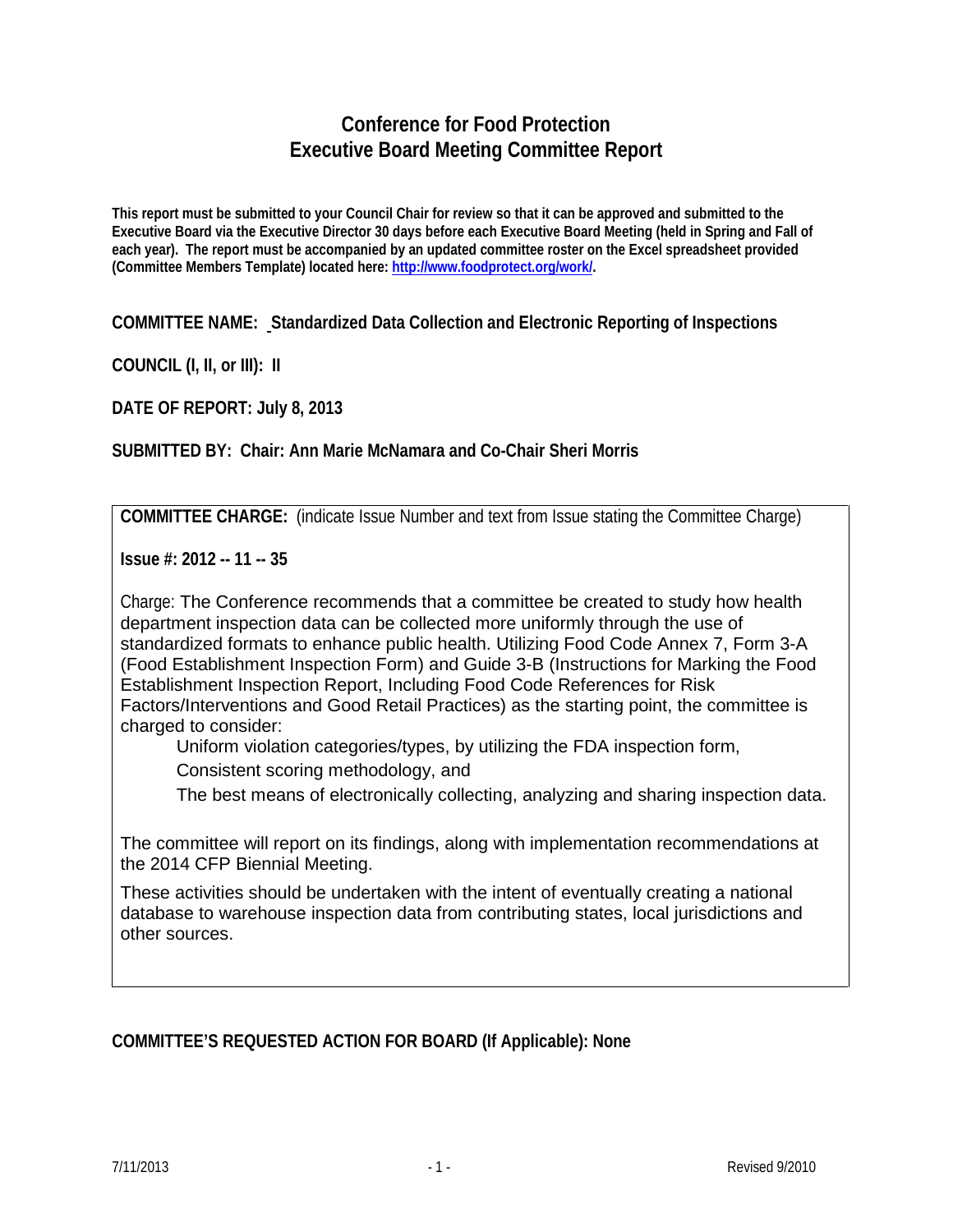## **Conference for Food Protection Executive Board Meeting Committee Report**

**This report must be submitted to your Council Chair for review so that it can be approved and submitted to the Executive Board via the Executive Director 30 days before each Executive Board Meeting (held in Spring and Fall of each year). The report must be accompanied by an updated committee roster on the Excel spreadsheet provided (Committee Members Template) located here: [http://www.foodprotect.org/work/.](http://www.foodprotect.org/work/)**

**COMMITTEE NAME: Standardized Data Collection and Electronic Reporting of Inspections**

**COUNCIL (I, II, or III): II**

**DATE OF REPORT: July 8, 2013**

**SUBMITTED BY: Chair: Ann Marie McNamara and Co-Chair Sheri Morris**

**COMMITTEE CHARGE:** (indicate Issue Number and text from Issue stating the Committee Charge)

**Issue #: 2012 -- 11 -- 35**

Charge: The Conference recommends that a committee be created to study how health department inspection data can be collected more uniformly through the use of standardized formats to enhance public health. Utilizing Food Code Annex 7, Form 3-A (Food Establishment Inspection Form) and Guide 3-B (Instructions for Marking the Food Establishment Inspection Report, Including Food Code References for Risk Factors/Interventions and Good Retail Practices) as the starting point, the committee is charged to consider:

Uniform violation categories/types, by utilizing the FDA inspection form,

Consistent scoring methodology, and

The best means of electronically collecting, analyzing and sharing inspection data.

The committee will report on its findings, along with implementation recommendations at the 2014 CFP Biennial Meeting.

These activities should be undertaken with the intent of eventually creating a national database to warehouse inspection data from contributing states, local jurisdictions and other sources.

**COMMITTEE'S REQUESTED ACTION FOR BOARD (If Applicable): None**